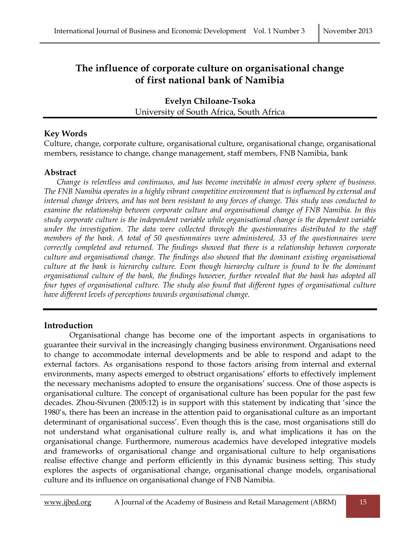# **The influence of corporate culture on organisational change of first national bank of Namibia**

**Evelyn Chiloane-Tsoka** University of South Africa, South Africa

## **Key Words**

Culture, change, corporate culture, organisational culture, organisational change, organisational members, resistance to change, change management, staff members, FNB Namibia, bank

## **Abstract**

*Change is relentless and continuous, and has become inevitable in almost every sphere of business. The FNB Namibia operates in a highly vibrant competitive environment that is influenced by external and internal change drivers, and has not been resistant to any forces of change. This study was conducted to examine the relationship between corporate culture and organisational change of FNB Namibia. In this study corporate culture is the independent variable while organisational change is the dependent variable under the investigation. The data were collected through the questionnaires distributed to the staff members of the bank. A total of 50 questionnaires were administered, 33 of the questionnaires were correctly completed and returned. The findings showed that there is a relationship between corporate culture and organisational change. The findings also showed that the dominant existing organisational culture at the bank is hierarchy culture. Even though hierarchy culture is found to be the dominant organisational culture of the bank, the findings however, further revealed that the bank has adopted all four types of organisational culture. The study also found that different types of organisational culture have different levels of perceptions towards organisational change.*

## **Introduction**

Organisational change has become one of the important aspects in organisations to guarantee their survival in the increasingly changing business environment. Organisations need to change to accommodate internal developments and be able to respond and adapt to the external factors. As organisations respond to those factors arising from internal and external environments, many aspects emerged to obstruct organisations' efforts to effectively implement the necessary mechanisms adopted to ensure the organisations' success. One of those aspects is organisational culture. The concept of organisational culture has been popular for the past few decades. Zhou-Sivunen (2005:12) is in support with this statement by indicating that 'since the 1980's, there has been an increase in the attention paid to organisational culture as an important determinant of organisational success'. Even though this is the case, most organisations still do not understand what organisational culture really is, and what implications it has on the organisational change. Furthermore, numerous academics have developed integrative models and frameworks of organisational change and organisational culture to help organisations realise effective change and perform efficiently in this dynamic business setting. This study explores the aspects of organisational change, organisational change models, organisational culture and its influence on organisational change of FNB Namibia.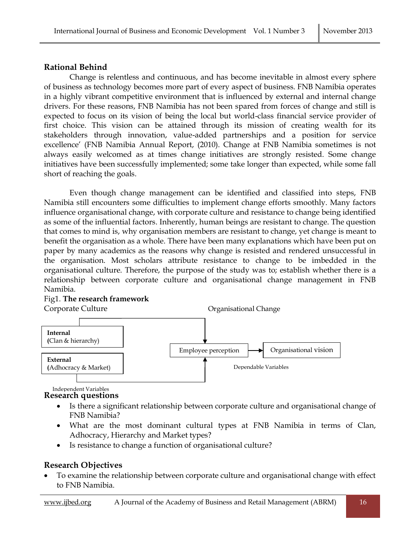## **Rational Behind**

Change is relentless and continuous, and has become inevitable in almost every sphere of business as technology becomes more part of every aspect of business. FNB Namibia operates in a highly vibrant competitive environment that is influenced by external and internal change drivers. For these reasons, FNB Namibia has not been spared from forces of change and still is expected to focus on its vision of being the local but world-class financial service provider of first choice. This vision can be attained through its mission of creating wealth for its stakeholders through innovation, value-added partnerships and a position for service excellence' (FNB Namibia Annual Report, (2010). Change at FNB Namibia sometimes is not always easily welcomed as at times change initiatives are strongly resisted. Some change initiatives have been successfully implemented; some take longer than expected, while some fall short of reaching the goals.

Even though change management can be identified and classified into steps, FNB Namibia still encounters some difficulties to implement change efforts smoothly. Many factors influence organisational change, with corporate culture and resistance to change being identified as some of the influential factors. Inherently, human beings are resistant to change. The question that comes to mind is, why organisation members are resistant to change, yet change is meant to benefit the organisation as a whole. There have been many explanations which have been put on paper by many academics as the reasons why change is resisted and rendered unsuccessful in the organisation. Most scholars attribute resistance to change to be imbedded in the organisational culture. Therefore, the purpose of the study was to; establish whether there is a relationship between corporate culture and organisational change management in FNB Namibia.

# Corporate Culture **Conserverse Conserverse Conserverse Conserverse Conserverse Conserverse Conserverse Conserverse Conserverse Conserverse Conserverse Conserverse Conserverse Conserverse Conserverse Conserverse Conserverse Internal (**Clan & hierarchy) Employee perception **External (**Adhocracy & Market) Organisational vision Dependable Variables

# Fig1. **The research framework**

**Research questions** Independent Variables

- Is there a significant relationship between corporate culture and organisational change of FNB Namibia?
- What are the most dominant cultural types at FNB Namibia in terms of Clan, Adhocracy, Hierarchy and Market types?
- Is resistance to change a function of organisational culture?

# **Research Objectives**

 To examine the relationship between corporate culture and organisational change with effect to FNB Namibia.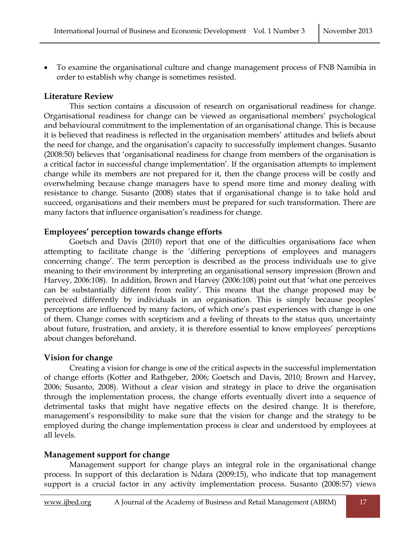To examine the organisational culture and change management process of FNB Namibia in order to establish why change is sometimes resisted.

## **Literature Review**

This section contains a discussion of research on organisational readiness for change. Organisational readiness for change can be viewed as organisational members' psychological and behavioural commitment to the implementation of an organisational change. This is because it is believed that readiness is reflected in the organisation members' attitudes and beliefs about the need for change, and the organisation's capacity to successfully implement changes. Susanto (2008:50) believes that 'organisational readiness for change from members of the organisation is a critical factor in successful change implementation'. If the organisation attempts to implement change while its members are not prepared for it, then the change process will be costly and overwhelming because change managers have to spend more time and money dealing with resistance to change. Susanto (2008) states that if organisational change is to take hold and succeed, organisations and their members must be prepared for such transformation. There are many factors that influence organisation's readiness for change.

#### **Employees' perception towards change efforts**

Goetsch and Davis (2010) report that one of the difficulties organisations face when attempting to facilitate change is the 'differing perceptions of employees and managers concerning change'. The term perception is described as the process individuals use to give meaning to their environment by interpreting an organisational sensory impression (Brown and Harvey, 2006:108). In addition, Brown and Harvey (2006:108) point out that 'what one perceives can be substantially different from reality'. This means that the change proposed may be perceived differently by individuals in an organisation. This is simply because peoples' perceptions are influenced by many factors, of which one's past experiences with change is one of them. Change comes with scepticism and a feeling of threats to the status quo, uncertainty about future, frustration, and anxiety, it is therefore essential to know employees' perceptions about changes beforehand.

## **Vision for change**

Creating a vision for change is one of the critical aspects in the successful implementation of change efforts (Kotter and Rathgeber, 2006; Goetsch and Davis, 2010; Brown and Harvey, 2006; Susanto, 2008). Without a clear vision and strategy in place to drive the organisation through the implementation process, the change efforts eventually divert into a sequence of detrimental tasks that might have negative effects on the desired change. It is therefore, management's responsibility to make sure that the vision for change and the strategy to be employed during the change implementation process is clear and understood by employees at all levels.

## **Management support for change**

Management support for change plays an integral role in the organisational change process. In support of this declaration is Ndara (2009:15), who indicate that top management support is a crucial factor in any activity implementation process. Susanto (2008:57) views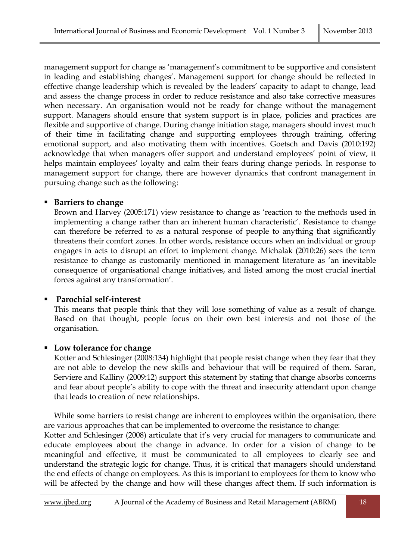management support for change as 'management's commitment to be supportive and consistent in leading and establishing changes'. Management support for change should be reflected in effective change leadership which is revealed by the leaders' capacity to adapt to change, lead and assess the change process in order to reduce resistance and also take corrective measures when necessary. An organisation would not be ready for change without the management support. Managers should ensure that system support is in place, policies and practices are flexible and supportive of change. During change initiation stage, managers should invest much of their time in facilitating change and supporting employees through training, offering emotional support, and also motivating them with incentives. Goetsch and Davis (2010:192) acknowledge that when managers offer support and understand employees' point of view, it helps maintain employees' loyalty and calm their fears during change periods. In response to management support for change, there are however dynamics that confront management in pursuing change such as the following:

#### **Barriers to change**

Brown and Harvey (2005:171) view resistance to change as 'reaction to the methods used in implementing a change rather than an inherent human characteristic'. Resistance to change can therefore be referred to as a natural response of people to anything that significantly threatens their comfort zones. In other words, resistance occurs when an individual or group engages in acts to disrupt an effort to implement change. Michalak (2010:26) sees the term resistance to change as customarily mentioned in management literature as 'an inevitable consequence of organisational change initiatives, and listed among the most crucial inertial forces against any transformation'.

## **Parochial self-interest**

This means that people think that they will lose something of value as a result of change. Based on that thought, people focus on their own best interests and not those of the organisation.

## **Low tolerance for change**

Kotter and Schlesinger (2008:134) highlight that people resist change when they fear that they are not able to develop the new skills and behaviour that will be required of them. Saran, Serviere and Kalliny (2009:12) support this statement by stating that change absorbs concerns and fear about people's ability to cope with the threat and insecurity attendant upon change that leads to creation of new relationships.

While some barriers to resist change are inherent to employees within the organisation, there are various approaches that can be implemented to overcome the resistance to change:

Kotter and Schlesinger (2008) articulate that it's very crucial for managers to communicate and educate employees about the change in advance. In order for a vision of change to be meaningful and effective, it must be communicated to all employees to clearly see and understand the strategic logic for change. Thus, it is critical that managers should understand the end effects of change on employees. As this is important to employees for them to know who will be affected by the change and how will these changes affect them. If such information is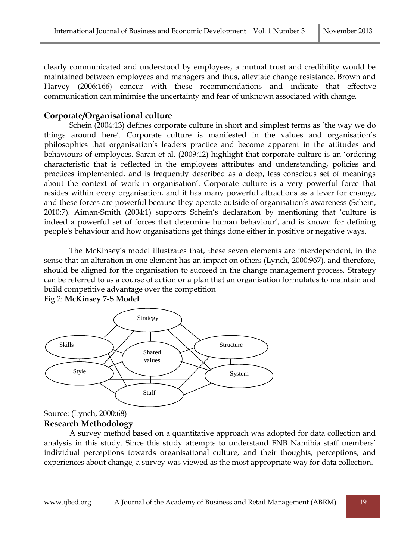clearly communicated and understood by employees, a mutual trust and credibility would be maintained between employees and managers and thus, alleviate change resistance. Brown and Harvey (2006:166) concur with these recommendations and indicate that effective communication can minimise the uncertainty and fear of unknown associated with change.

#### **Corporate/Organisational culture**

Schein (2004:13) defines corporate culture in short and simplest terms as 'the way we do things around here'. Corporate culture is manifested in the values and organisation's philosophies that organisation's leaders practice and become apparent in the attitudes and behaviours of employees. Saran et al. (2009:12) highlight that corporate culture is an 'ordering characteristic that is reflected in the employees attributes and understanding, policies and practices implemented, and is frequently described as a deep, less conscious set of meanings about the context of work in organisation'. Corporate culture is a very powerful force that resides within every organisation, and it has many powerful attractions as a lever for change, and these forces are powerful because they operate outside of organisation's awareness (Schein, 2010:7). Aiman-Smith (2004:1) supports Schein's declaration by mentioning that 'culture is indeed a powerful set of forces that determine human behaviour', and is known for defining people's behaviour and how organisations get things done either in positive or negative ways.

The McKinsey's model illustrates that, these seven elements are interdependent, in the sense that an alteration in one element has an impact on others (Lynch, 2000:967), and therefore, should be aligned for the organisation to succeed in the change management process. Strategy can be referred to as a course of action or a plan that an organisation formulates to maintain and build competitive advantage over the competition



Fig.2: **McKinsey 7-S Model**

Source: (Lynch, 2000:68) **Research Methodology**

A survey method based on a quantitative approach was adopted for data collection and analysis in this study. Since this study attempts to understand FNB Namibia staff members' individual perceptions towards organisational culture, and their thoughts, perceptions, and experiences about change, a survey was viewed as the most appropriate way for data collection.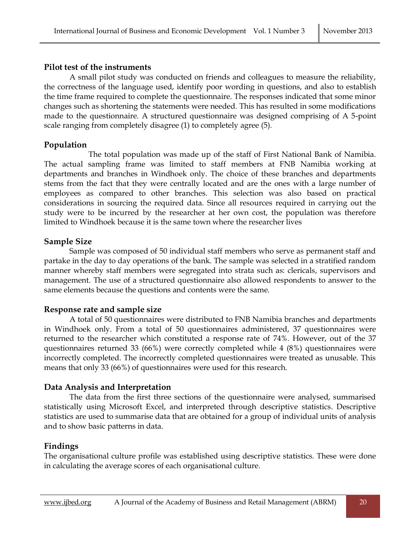## **Pilot test of the instruments**

A small pilot study was conducted on friends and colleagues to measure the reliability, the correctness of the language used, identify poor wording in questions, and also to establish the time frame required to complete the questionnaire. The responses indicated that some minor changes such as shortening the statements were needed. This has resulted in some modifications made to the questionnaire. A structured questionnaire was designed comprising of A 5-point scale ranging from completely disagree (1) to completely agree (5).

## **Population**

The total population was made up of the staff of First National Bank of Namibia. The actual sampling frame was limited to staff members at FNB Namibia working at departments and branches in Windhoek only. The choice of these branches and departments stems from the fact that they were centrally located and are the ones with a large number of employees as compared to other branches. This selection was also based on practical considerations in sourcing the required data. Since all resources required in carrying out the study were to be incurred by the researcher at her own cost, the population was therefore limited to Windhoek because it is the same town where the researcher lives

## **Sample Size**

Sample was composed of 50 individual staff members who serve as permanent staff and partake in the day to day operations of the bank. The sample was selected in a stratified random manner whereby staff members were segregated into strata such as: clericals, supervisors and management. The use of a structured questionnaire also allowed respondents to answer to the same elements because the questions and contents were the same.

## **Response rate and sample size**

A total of 50 questionnaires were distributed to FNB Namibia branches and departments in Windhoek only. From a total of 50 questionnaires administered, 37 questionnaires were returned to the researcher which constituted a response rate of 74%. However, out of the 37 questionnaires returned 33 (66%) were correctly completed while 4 (8%) questionnaires were incorrectly completed. The incorrectly completed questionnaires were treated as unusable. This means that only 33 (66%) of questionnaires were used for this research.

## **Data Analysis and Interpretation**

The data from the first three sections of the questionnaire were analysed, summarised statistically using Microsoft Excel, and interpreted through descriptive statistics. Descriptive statistics are used to summarise data that are obtained for a group of individual units of analysis and to show basic patterns in data.

## **Findings**

The organisational culture profile was established using descriptive statistics. These were done in calculating the average scores of each organisational culture.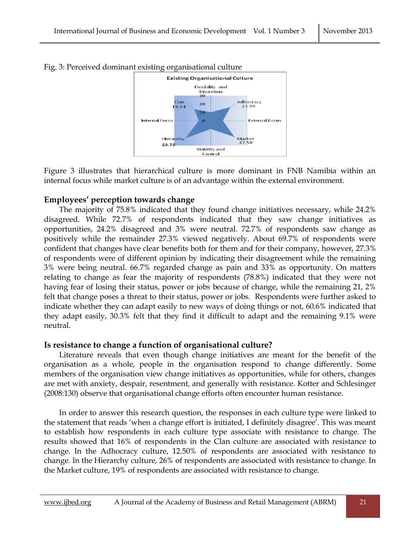

Fig. 3: Perceived dominant existing organisational culture

Figure 3 illustrates that hierarchical culture is more dominant in FNB Namibia within an internal focus while market culture is of an advantage within the external environment.

#### **Employees' perception towards change**

The majority of 75.8% indicated that they found change initiatives necessary, while 24.2% disagreed. While 72.7% of respondents indicated that they saw change initiatives as opportunities, 24.2% disagreed and 3% were neutral. 72.7% of respondents saw change as positively while the remainder 27.3% viewed negatively. About 69.7% of respondents were confident that changes have clear benefits both for them and for their company, however, 27.3% of respondents were of different opinion by indicating their disagreement while the remaining 3% were being neutral. 66.7% regarded change as pain and 33% as opportunity. On matters relating to change as fear the majority of respondents (78.8%) indicated that they were not having fear of losing their status, power or jobs because of change, while the remaining 21, 2% felt that change poses a threat to their status, power or jobs. Respondents were further asked to indicate whether they can adapt easily to new ways of doing things or not, 60.6% indicated that they adapt easily, 30.3% felt that they find it difficult to adapt and the remaining 9.1% were neutral.

## **Is resistance to change a function of organisational culture?**

Literature reveals that even though change initiatives are meant for the benefit of the organisation as a whole, people in the organisation respond to change differently. Some members of the organisation view change initiatives as opportunities, while for others, changes are met with anxiety, despair, resentment, and generally with resistance. Kotter and Schlesinger (2008:130) observe that organisational change efforts often encounter human resistance.

In order to answer this research question, the responses in each culture type were linked to the statement that reads 'when a change effort is initiated, I definitely disagree'. This was meant to establish how respondents in each culture type associate with resistance to change. The results showed that 16% of respondents in the Clan culture are associated with resistance to change. In the Adhocracy culture, 12.50% of respondents are associated with resistance to change. In the Hierarchy culture, 26% of respondents are associated with resistance to change. In the Market culture, 19% of respondents are associated with resistance to change.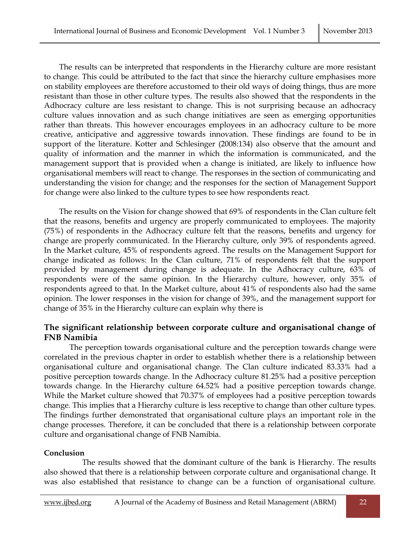The results can be interpreted that respondents in the Hierarchy culture are more resistant to change. This could be attributed to the fact that since the hierarchy culture emphasises more on stability employees are therefore accustomed to their old ways of doing things, thus are more resistant than those in other culture types. The results also showed that the respondents in the Adhocracy culture are less resistant to change. This is not surprising because an adhocracy culture values innovation and as such change initiatives are seen as emerging opportunities rather than threats. This however encourages employees in an adhocracy culture to be more creative, anticipative and aggressive towards innovation. These findings are found to be in support of the literature. Kotter and Schlesinger (2008:134) also observe that the amount and quality of information and the manner in which the information is communicated, and the management support that is provided when a change is initiated, are likely to influence how organisational members will react to change. The responses in the section of communicating and understanding the vision for change; and the responses for the section of Management Support for change were also linked to the culture types to see how respondents react.

The results on the Vision for change showed that 69% of respondents in the Clan culture felt that the reasons, benefits and urgency are properly communicated to employees. The majority (75%) of respondents in the Adhocracy culture felt that the reasons, benefits and urgency for change are properly communicated. In the Hierarchy culture, only 39% of respondents agreed. In the Market culture, 45% of respondents agreed. The results on the Management Support for change indicated as follows: In the Clan culture, 71% of respondents felt that the support provided by management during change is adequate. In the Adhocracy culture, 63% of respondents were of the same opinion. In the Hierarchy culture, however, only 35% of respondents agreed to that. In the Market culture, about 41% of respondents also had the same opinion. The lower responses in the vision for change of 39%, and the management support for change of 35% in the Hierarchy culture can explain why there is

## **The significant relationship between corporate culture and organisational change of FNB Namibia**

The perception towards organisational culture and the perception towards change were correlated in the previous chapter in order to establish whether there is a relationship between organisational culture and organisational change. The Clan culture indicated 83.33% had a positive perception towards change. In the Adhocracy culture 81.25% had a positive perception towards change. In the Hierarchy culture 64.52% had a positive perception towards change. While the Market culture showed that 70.37% of employees had a positive perception towards change. This implies that a Hierarchy culture is less receptive to change than other culture types. The findings further demonstrated that organisational culture plays an important role in the change processes. Therefore, it can be concluded that there is a relationship between corporate culture and organisational change of FNB Namibia.

#### **Conclusion**

The results showed that the dominant culture of the bank is Hierarchy. The results also showed that there is a relationship between corporate culture and organisational change. It was also established that resistance to change can be a function of organisational culture.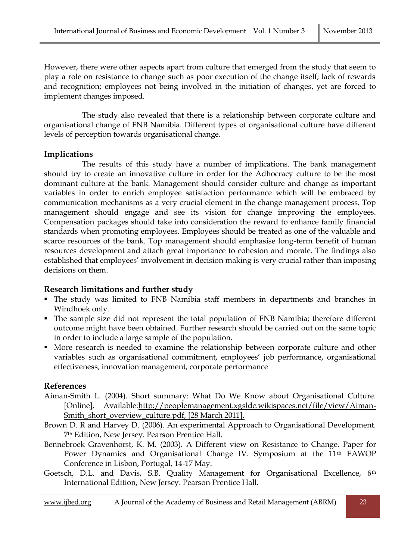However, there were other aspects apart from culture that emerged from the study that seem to play a role on resistance to change such as poor execution of the change itself; lack of rewards and recognition; employees not being involved in the initiation of changes, yet are forced to implement changes imposed.

The study also revealed that there is a relationship between corporate culture and organisational change of FNB Namibia. Different types of organisational culture have different levels of perception towards organisational change.

#### **Implications**

The results of this study have a number of implications. The bank management should try to create an innovative culture in order for the Adhocracy culture to be the most dominant culture at the bank. Management should consider culture and change as important variables in order to enrich employee satisfaction performance which will be embraced by communication mechanisms as a very crucial element in the change management process. Top management should engage and see its vision for change improving the employees. Compensation packages should take into consideration the reward to enhance family financial standards when promoting employees. Employees should be treated as one of the valuable and scarce resources of the bank. Top management should emphasise long-term benefit of human resources development and attach great importance to cohesion and morale. The findings also established that employees' involvement in decision making is very crucial rather than imposing decisions on them.

## **Research limitations and further study**

- The study was limited to FNB Namibia staff members in departments and branches in Windhoek only.
- The sample size did not represent the total population of FNB Namibia; therefore different outcome might have been obtained. Further research should be carried out on the same topic in order to include a large sample of the population.
- More research is needed to examine the relationship between corporate culture and other variables such as organisational commitment, employees' job performance, organisational effectiveness, innovation management, corporate performance

#### **References**

- Aiman-Smith L. (2004). Short summary: What Do We Know about Organisational Culture. [Online], Available[:http://peoplemanagement.xgsldc.wikispaces.net/file/view/Aiman-](http://peoplemanagement.xgsldc.wikispaces.net/file/view/Aiman-Smith_short_overview_culture.pdf)[Smith\\_short\\_overview\\_culture.pdf,](http://peoplemanagement.xgsldc.wikispaces.net/file/view/Aiman-Smith_short_overview_culture.pdf) [28 March 2011].
- Brown D. R and Harvey D. (2006). An experimental Approach to Organisational Development. 7th Edition, New Jersey. Pearson Prentice Hall.
- Bennebroek Gravenhorst, K. M. (2003). A Different view on Resistance to Change. Paper for Power Dynamics and Organisational Change IV. Symposium at the 11<sup>th</sup> EAWOP Conference in Lisbon, Portugal, 14-17 May.
- Goetsch, D.L. and Davis, S.B. Quality Management for Organisational Excellence, 6th International Edition, New Jersey. Pearson Prentice Hall.